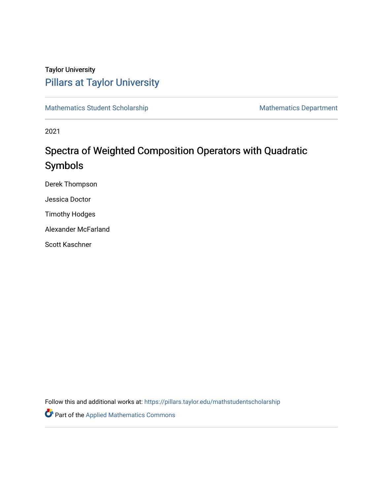# Taylor University [Pillars at Taylor University](https://pillars.taylor.edu/)

[Mathematics Student Scholarship](https://pillars.taylor.edu/mathstudentscholarship) Mathematics Department

2021

# Spectra of Weighted Composition Operators with Quadratic Symbols

Derek Thompson

Jessica Doctor

Timothy Hodges

Alexander McFarland

Scott Kaschner

Follow this and additional works at: [https://pillars.taylor.edu/mathstudentscholarship](https://pillars.taylor.edu/mathstudentscholarship?utm_source=pillars.taylor.edu%2Fmathstudentscholarship%2F2&utm_medium=PDF&utm_campaign=PDFCoverPages)

Part of the [Applied Mathematics Commons](http://network.bepress.com/hgg/discipline/115?utm_source=pillars.taylor.edu%2Fmathstudentscholarship%2F2&utm_medium=PDF&utm_campaign=PDFCoverPages)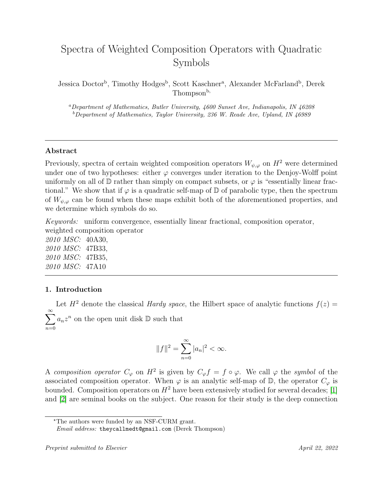# Spectra of Weighted Composition Operators with Quadratic Symbols

Jessica Doctor<sup>b</sup>, Timothy Hodges<sup>b</sup>, Scott Kaschner<sup>a</sup>, Alexander McFarland<sup>b</sup>, Derek Thompson<sup>b,</sup>

<sup>a</sup>Department of Mathematics, Butler University, 4600 Sunset Ave, Indianapolis, IN 46208  $b$ Department of Mathematics, Taylor University, 236 W. Reade Ave, Upland, IN 46989

# Abstract

Previously, spectra of certain weighted composition operators  $W_{\psi,\varphi}$  on  $H^2$  were determined under one of two hypotheses: either  $\varphi$  converges under iteration to the Denjoy-Wolff point uniformly on all of  $\mathbb D$  rather than simply on compact subsets, or  $\varphi$  is "essentially linear fractional." We show that if  $\varphi$  is a quadratic self-map of  $\mathbb D$  of parabolic type, then the spectrum of  $W_{\psi,\varphi}$  can be found when these maps exhibit both of the aforementioned properties, and we determine which symbols do so.

Keywords: uniform convergence, essentially linear fractional, composition operator, weighted composition operator

2010 MSC: 40A30, 2010 MSC: 47B33, 2010 MSC: 47B35, 2010 MSC: 47A10

# 1. Introduction

Let  $H^2$  denote the classical *Hardy space*, the Hilbert space of analytic functions  $f(z) =$  $\sum_{n=1}^{\infty} a_n z^n$  on the open unit disk D such that  $n=0$ 

$$
||f||^2 = \sum_{n=0}^{\infty} |a_n|^2 < \infty.
$$

A composition operator  $C_{\varphi}$  on  $H^2$  is given by  $C_{\varphi} f = f \circ \varphi$ . We call  $\varphi$  the symbol of the associated composition operator. When  $\varphi$  is an analytic self-map of  $\mathbb{D}$ , the operator  $C_{\varphi}$  is bounded. Composition operators on  $H^2$  have been extensively studied for several decades; [\[1\]](#page-14-0) and [\[2\]](#page-14-1) are seminal books on the subject. One reason for their study is the deep connection

<sup>?</sup>The authors were funded by an NSF-CURM grant.

Email address: theycallmedt@gmail.com (Derek Thompson)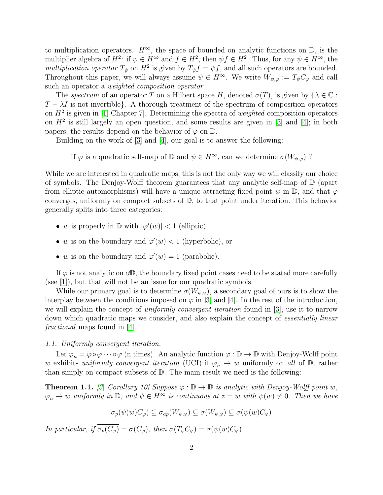to multiplication operators.  $H^{\infty}$ , the space of bounded on analytic functions on  $\mathbb{D}$ , is the multiplier algebra of  $H^2$ : if  $\psi \in H^{\infty}$  and  $f \in H^2$ , then  $\psi f \in H^2$ . Thus, for any  $\psi \in H^{\infty}$ , the multiplication operator  $T_{\psi}$  on  $H^2$  is given by  $T_{\psi}f = \psi f$ , and all such operators are bounded. Throughout this paper, we will always assume  $\psi \in H^{\infty}$ . We write  $W_{\psi,\varphi} := T_{\psi}C_{\varphi}$  and call such an operator a weighted composition operator.

The spectrum of an operator T on a Hilbert space H, denoted  $\sigma(T)$ , is given by  $\{\lambda \in \mathbb{C}$ :  $T - \lambda I$  is not invertible}. A thorough treatment of the spectrum of composition operators on  $H^2$  is given in [\[1,](#page-14-0) Chapter 7]. Determining the spectra of *weighted* composition operators on  $H^2$  is still largely an open question, and some results are given in [\[3\]](#page-14-2) and [\[4\]](#page-14-3); in both papers, the results depend on the behavior of  $\varphi$  on  $\mathbb{D}$ .

Building on the work of [\[3\]](#page-14-2) and [\[4\]](#page-14-3), our goal is to answer the following:

If  $\varphi$  is a quadratic self-map of  $\mathbb D$  and  $\psi \in H^{\infty}$ , can we determine  $\sigma(W_{\psi,\varphi})$  ?

While we are interested in quadratic maps, this is not the only way we will classify our choice of symbols. The Denjoy-Wolff theorem guarantees that any analytic self-map of  $\mathbb D$  (apart from elliptic automorphisms) will have a unique attracting fixed point w in  $\mathbb{D}$ , and that  $\varphi$ converges, uniformly on compact subsets of D, to that point under iteration. This behavior generally splits into three categories:

- w is properly in  $\mathbb{D}$  with  $|\varphi'(w)| < 1$  (elliptic),
- w is on the boundary and  $\varphi'(w) < 1$  (hyperbolic), or
- w is on the boundary and  $\varphi'(w) = 1$  (parabolic).

If  $\varphi$  is not analytic on  $\partial \mathbb{D}$ , the boundary fixed point cases need to be stated more carefully (see [\[1\]](#page-14-0)), but that will not be an issue for our quadratic symbols.

While our primary goal is to determine  $\sigma(W_{\psi,\varphi})$ , a secondary goal of ours is to show the interplay between the conditions imposed on  $\varphi$  in [\[3\]](#page-14-2) and [\[4\]](#page-14-3). In the rest of the introduction, we will explain the concept of *uniformly convergent iteration* found in [\[3\]](#page-14-2), use it to narrow down which quadratic maps we consider, and also explain the concept of *essentially linear* fractional maps found in [\[4\]](#page-14-3).

### 1.1. Uniformly convergent iteration.

Let  $\varphi_n = \varphi \circ \varphi \cdots \circ \varphi$  (n times). An analytic function  $\varphi : \mathbb{D} \to \mathbb{D}$  with Denjoy-Wolff point w exhibits uniformly convergent iteration (UCI) if  $\varphi_n \to w$  uniformly on all of  $\mathbb{D}$ , rather than simply on compact subsets of D. The main result we need is the following:

<span id="page-2-0"></span>**Theorem 1.1.** [\[3,](#page-14-2) Corollary 10] Suppose  $\varphi : \mathbb{D} \to \mathbb{D}$  is analytic with Denjoy-Wolff point w,  $\varphi_n \to w$  uniformly in  $\mathbb{D}$ , and  $\psi \in H^\infty$  is continuous at  $z = w$  with  $\psi(w) \neq 0$ . Then we have

$$
\overline{\sigma_p(\psi(w)C_\varphi)} \subseteq \overline{\sigma_{ap}(W_{\psi,\varphi})} \subseteq \sigma(W_{\psi,\varphi}) \subseteq \sigma(\psi(w)C_\varphi)
$$

In particular, if  $\overline{\sigma_p(C_\varphi)} = \sigma(C_\varphi)$ , then  $\sigma(T_\psi C_\varphi) = \sigma(\psi(w)C_\varphi)$ .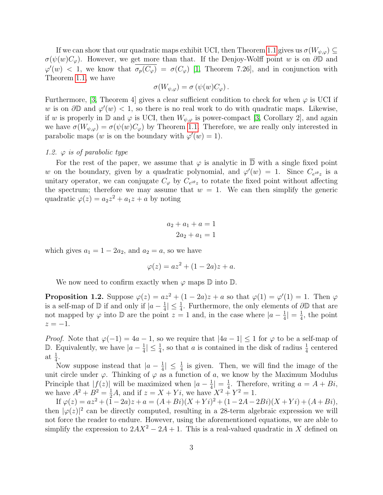If we can show that our quadratic maps exhibit UCI, then Theorem [1.1](#page-2-0) gives us  $\sigma(W_{\psi,\varphi}) \subseteq$  $\sigma(\psi(w)C_{\varphi})$ . However, we get more than that. If the Denjoy-Wolff point w is on  $\partial\mathbb{D}$  and  $\varphi'(w)$  < 1, we know that  $\overline{\sigma_p(C_{\varphi})} = \sigma(C_{\varphi})$  [\[1,](#page-14-0) Theorem 7.26], and in conjunction with Theorem [1.1,](#page-2-0) we have

$$
\sigma(W_{\psi,\varphi}) = \sigma(\psi(w)C_{\varphi}).
$$

Furthermore, [\[3,](#page-14-2) Theorem 4] gives a clear sufficient condition to check for when  $\varphi$  is UCI if w is on  $\partial \mathbb{D}$  and  $\varphi'(w) < 1$ , so there is no real work to do with quadratic maps. Likewise, if w is properly in  $\mathbb D$  and  $\varphi$  is UCI, then  $W_{\psi,\varphi}$  is power-compact [\[3,](#page-14-2) Corollary 2], and again we have  $\sigma(W_{\psi,\varphi}) = \sigma(\psi(w)C_{\varphi})$  by Theorem [1.1.](#page-2-0) Therefore, we are really only interested in parabolic maps (w is on the boundary with  $\varphi'(w) = 1$ ).

#### 1.2.  $\varphi$  is of parabolic type

For the rest of the paper, we assume that  $\varphi$  is analytic in  $\overline{D}$  with a single fixed point w on the boundary, given by a quadratic polynomial, and  $\varphi'(w) = 1$ . Since  $C_{e^{i\theta}z}$  is a unitary operator, we can conjugate  $C_{\varphi}$  by  $C_{e^{i\theta}z}$  to rotate the fixed point without affecting the spectrum; therefore we may assume that  $w = 1$ . We can then simplify the generic quadratic  $\varphi(z) = a_2 z^2 + a_1 z + a$  by noting

$$
a_2 + a_1 + a = 1
$$

$$
2a_2 + a_1 = 1
$$

which gives  $a_1 = 1 - 2a_2$ , and  $a_2 = a$ , so we have

$$
\varphi(z) = az^2 + (1 - 2a)z + a.
$$

We now need to confirm exactly when  $\varphi$  maps  $\mathbb D$  into  $\mathbb D$ .

<span id="page-3-0"></span>**Proposition 1.2.** Suppose  $\varphi(z) = az^2 + (1 - 2a)z + a$  so that  $\varphi(1) = \varphi'(1) = 1$ . Then  $\varphi$ is a self-map of  $\mathbb{D}$  if and only if  $|a-\frac{1}{4}|$  $\frac{1}{4}$ | ≤  $\frac{1}{4}$ . Furthermore, the only elements of  $\partial\mathbb{D}$  that are not mapped by  $\varphi$  into D are the point  $z = 1$  and, in the case where  $|a - \frac{1}{4}$  $\frac{1}{4}| = \frac{1}{4}$  $\frac{1}{4}$ , the point  $z = -1$ .

*Proof.* Note that  $\varphi(-1) = 4a - 1$ , so we require that  $|4a - 1| \leq 1$  for  $\varphi$  to be a self-map of **D.** Equivalently, we have  $|a - \frac{1}{4}|$  $\frac{1}{4} \leq \frac{1}{4}$ , so that a is contained in the disk of radius  $\frac{1}{4}$  centered at  $\frac{1}{4}$ .

Now suppose instead that  $|a-\frac{1}{4}\rangle$  $\frac{1}{4}$   $\leq \frac{1}{4}$  is given. Then, we will find the image of the unit circle under  $\varphi$ . Thinking of  $\varphi$  as a function of a, we know by the Maximum Modulus Principle that  $|f(z)|$  will be maximized when  $|a-\frac{1}{4}|$  $\frac{1}{4}| = \frac{1}{4}$  $\frac{1}{4}$ . Therefore, writing  $a = A + Bi$ , we have  $A^2 + B^2 = \frac{1}{2}A$ , and if  $z = X + Yi$ , we have  $X^2 + Y^2 = 1$ .

If  $\varphi(z) = az^2 + (1 - 2a)z + a = (A + Bi)(X + Yi)^2 + (1 - 2A - 2Bi)(X + Yi) + (A + Bi),$ then  $|\varphi(z)|^2$  can be directly computed, resulting in a 28-term algebraic expression we will not force the reader to endure. However, using the aforementioned equations, we are able to simplify the expression to  $2AX^2 - 2A + 1$ . This is a real-valued quadratic in X defined on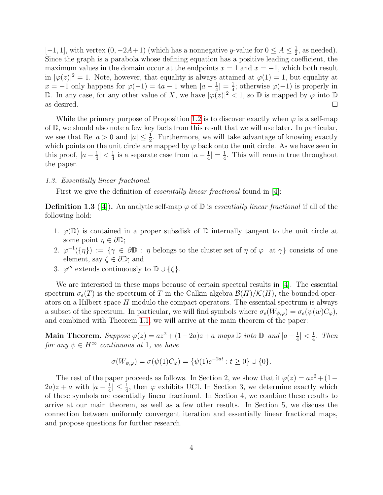[-1, 1], with vertex  $(0, -2A+1)$  (which has a nonnegative y-value for  $0 \le A \le \frac{1}{2}$ )  $\frac{1}{2}$ , as needed). Since the graph is a parabola whose defining equation has a positive leading coefficient, the maximum values in the domain occur at the endpoints  $x = 1$  and  $x = -1$ , which both result in  $|\varphi(z)|^2 = 1$ . Note, however, that equality is always attained at  $\varphi(1) = 1$ , but equality at  $x = -1$  only happens for  $\varphi(-1) = 4a - 1$  when  $|a - \frac{1}{4}$  $\frac{1}{4}|=\frac{1}{4}$  $\frac{1}{4}$ ; otherwise  $\varphi(-1)$  is properly in D. In any case, for any other value of X, we have  $|\varphi(z)|^2 < 1$ , so D is mapped by  $\varphi$  into D as desired.  $\Box$ 

While the primary purpose of Proposition [1.2](#page-3-0) is to discover exactly when  $\varphi$  is a self-map of D, we should also note a few key facts from this result that we will use later. In particular, we see that Re  $a > 0$  and  $|a| \leq \frac{1}{2}$ . Furthermore, we will take advantage of knowing exactly which points on the unit circle are mapped by  $\varphi$  back onto the unit circle. As we have seen in this proof,  $|a-\frac{1}{4}\rangle$  $\frac{1}{4}|<\frac{1}{4}$  $\frac{1}{4}$  is a separate case from  $|a-\frac{1}{4}|$  $\frac{1}{4}|=\frac{1}{4}$  $\frac{1}{4}$ . This will remain true throughout the paper.

#### 1.3. Essentially linear fractional.

First we give the definition of *essenitally linear fractional* found in [\[4\]](#page-14-3):

<span id="page-4-0"></span>**Definition 1.3** ([\[4\]](#page-14-3)). An analytic self-map  $\varphi$  of  $\mathbb{D}$  is essentially linear fractional if all of the following hold:

- 1.  $\varphi(\mathbb{D})$  is contained in a proper subsdisk of  $\mathbb D$  internally tangent to the unit circle at some point  $\eta \in \partial \mathbb{D}$ ;
- 2.  $\varphi^{-1}(\{\eta\}) := \{\gamma \in \partial \mathbb{D} : \eta \text{ belongs to the cluster set of } \eta \text{ of } \varphi \text{ at } \gamma\}$  consists of one element, say  $\zeta \in \partial \mathbb{D}$ ; and
- 3.  $\varphi'''$  extends continuously to  $\mathbb{D} \cup \{\zeta\}.$

We are interested in these maps because of certain spectral results in [\[4\]](#page-14-3). The essential spectrum  $\sigma_e(T)$  is the spectrum of T in the Calkin algebra  $\mathcal{B}(H)/\mathcal{K}(H)$ , the bounded operators on a Hilbert space  $H$  modulo the compact operators. The essential spectrum is always a subset of the spectrum. In particular, we will find symbols where  $\sigma_e(W_{\psi,\varphi}) = \sigma_e(\psi(w)C_{\varphi}),$ and combined with Theorem [1.1,](#page-2-0) we will arrive at the main theorem of the paper:

Main Theorem. Suppose  $\varphi(z) = az^2 + (1-2a)z + a$  maps  $\mathbb D$  into  $\mathbb D$  and  $|a-\frac{1}{4a}|$  $\frac{1}{4}|<\frac{1}{4}$  $rac{1}{4}$ . Then for any  $\psi \in H^{\infty}$  continuous at 1, we have

$$
\sigma(W_{\psi,\varphi}) = \sigma(\psi(1)C_{\varphi}) = \{\psi(1)e^{-2at} : t \ge 0\} \cup \{0\}.
$$

The rest of the paper proceeds as follows. In Section 2, we show that if  $\varphi(z) = az^2 + (1 - \pi)\varphi(z)$  $(2a)z + a$  with  $|a - \frac{1}{4}\rangle$  $\frac{1}{4} \leq \frac{1}{4}$ , then  $\varphi$  exhibits UCI. In Section 3, we determine exactly which of these symbols are essentially linear fractional. In Section 4, we combine these results to arrive at our main theorem, as well as a few other results. In Section 5, we discuss the connection between uniformly convergent iteration and essentially linear fractional maps, and propose questions for further research.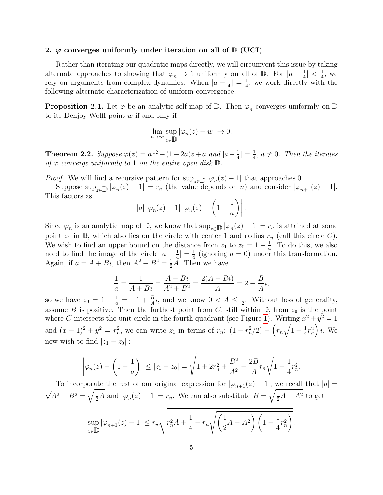#### 2.  $\varphi$  converges uniformly under iteration on all of  $\mathbb{D}$  (UCI)

Rather than iterating our quadratic maps directly, we will circumvent this issue by taking alternate approaches to showing that  $\varphi_n \to 1$  uniformly on all of  $\mathbb{D}$ . For  $|a-\frac{1}{4}|$  $\frac{1}{4}|<\frac{1}{4}$  $\frac{1}{4}$ , we rely on arguments from complex dynamics. When  $|a-\frac{1}{4}\rangle$  $\frac{1}{4}| = \frac{1}{4}$  $\frac{1}{4}$ , we work directly with the following alternate characterization of uniform convergence.

**Proposition 2.1.** Let  $\varphi$  be an analytic self-map of  $\mathbb{D}$ . Then  $\varphi_n$  converges uniformly on  $\mathbb{D}$ to its Denjoy-Wolff point  $w$  if and only if

$$
\lim_{n \to \infty} \sup_{z \in \mathbb{D}} |\varphi_n(z) - w| \to 0.
$$

<span id="page-5-0"></span>**Theorem 2.2.** Suppose  $\varphi(z) = az^2 + (1-2a)z + a$  and  $|a-\frac{1}{4}|$  $\frac{1}{4}|=\frac{1}{4}$  $\frac{1}{4}$ ,  $a \neq 0$ . Then the iterates of  $\varphi$  converge uniformly to 1 on the entire open disk  $\mathbb{D}$ .

*Proof.* We will find a recursive pattern for  $\sup_{z \in \mathbb{D}} |\varphi_n(z) - 1|$  that approaches 0.

Suppose  $\sup_{z\in\mathbb{D}} |\varphi_n(z)-1|=r_n$  (the value depends on n) and consider  $|\varphi_{n+1}(z)-1|$ . This factors as

$$
|a| \left|\varphi_n(z) - 1\right| \left|\varphi_n(z) - \left(1 - \frac{1}{a}\right)\right|.
$$

Since  $\varphi_n$  is an analytic map of  $\overline{\mathbb{D}}$ , we know that  $\sup_{z\in\mathbb{D}}|\varphi_n(z)-1|=r_n$  is attained at some point  $z_1$  in  $\overline{\mathbb{D}}$ , which also lies on the circle with center 1 and radius  $r_n$  (call this circle C). We wish to find an upper bound on the distance from  $z_1$  to  $z_0 = 1 - \frac{1}{a}$  $\frac{1}{a}$ . To do this, we also need to find the image of the circle  $|a-\frac{1}{4}|$  $\frac{1}{4}| = \frac{1}{4}$  $\frac{1}{4}$  (ignoring  $a = 0$ ) under this transformation. Again, if  $a = A + Bi$ , then  $A^2 + B^2 = \frac{1}{2}A$ . Then we have

$$
\frac{1}{a} = \frac{1}{A + Bi} = \frac{A - Bi}{A^2 + B^2} = \frac{2(A - Bi)}{A} = 2 - \frac{B}{A}i,
$$

so we have  $z_0 = 1 - \frac{1}{a} = -1 + \frac{B}{A}i$ , and we know  $0 < A \leq \frac{1}{2}$  $\frac{1}{2}$ . Without loss of generality, assume B is positive. Then the furthest point from C, still within  $\mathbb{D}$ , from  $z_0$  is the point where C intersects the unit circle in the fourth quadrant (see Figure [1\)](#page-6-0). Writing  $x^2 + y^2 = 1$ and  $(x-1)^2 + y^2 = r_n^2$ , we can write  $z_1$  in terms of  $r_n$ :  $(1 - r_n^2/2) - (r_n\sqrt{1 - \frac{1}{4}})$  $\overline{\frac{1}{4}r_n^2}$  i. We now wish to find  $|z_1 - z_0|$ :

$$
\left|\varphi_n(z) - \left(1 - \frac{1}{a}\right)\right| \le |z_1 - z_0| = \sqrt{1 + 2r_n^2 + \frac{B^2}{A^2} - \frac{2B}{A}r_n\sqrt{1 - \frac{1}{4}r_n^2}}.
$$

To incorporate the rest of our original expression for  $|\varphi_{n+1}(z) - 1|$ , we recall that  $|a| =$ √  $\overline{A^2 + B^2} = \sqrt{\frac{1}{2}A}$  and  $|\varphi_n(z) - 1| = r_n$ . We can also substitute  $B = \sqrt{\frac{1}{2}A - A^2}$  to get

$$
\sup_{z \in \mathbb{D}} |\varphi_{n+1}(z) - 1| \le r_n \sqrt{r_n^2 A + \frac{1}{4} - r_n \sqrt{\left(\frac{1}{2}A - A^2\right) \left(1 - \frac{1}{4}r_n^2\right)}}.
$$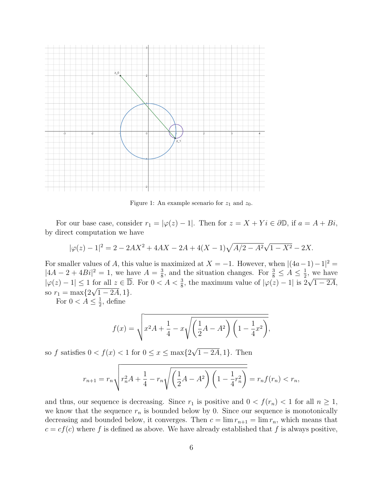

<span id="page-6-0"></span>Figure 1: An example scenario for  $z_1$  and  $z_0$ .

For our base case, consider  $r_1 = |\varphi(z) - 1|$ . Then for  $z = X + Yi \in \partial \mathbb{D}$ , if  $a = A + Bi$ , by direct computation we have

$$
|\varphi(z) - 1|^2 = 2 - 2AX^2 + 4AX - 2A + 4(X - 1)\sqrt{A/2 - A^2}\sqrt{1 - X^2} - 2X.
$$

For smaller values of A, this value is maximized at  $X = -1$ . However, when  $|(4a-1)-1|^2 =$  $|4A - 2 + 4Bi|^2 = 1$ , we have  $A = \frac{3}{8}$  $\frac{3}{8}$ , and the situation changes. For  $\frac{3}{8} \leq A \leq \frac{1}{2}$  $\frac{1}{2}$ , we have  $|\varphi(z) - 1| \leq 1$  for all  $z \in \overline{\mathbb{D}}$ . For  $0 < A < \frac{3}{8}$ , the maximum value of  $|\varphi(z) - 1|$  is  $2\sqrt{1 - 2A}$ , so  $r_1 = \max\{2\sqrt{1 - 2A}, 1\}.$ 

For  $0 < A \leq \frac{1}{2}$  $\frac{1}{2}$ , define

$$
f(x) = \sqrt{x^2 A + \frac{1}{4} - x \sqrt{\left(\frac{1}{2}A - A^2\right)\left(1 - \frac{1}{4}x^2\right)}},
$$

so f satisfies  $0 < f(x) < 1$  for  $0 \le x \le \max\{2\}$  $1-2\overline{A},1$ . Then

$$
r_{n+1} = r_n \sqrt{r_n^2 A + \frac{1}{4} - r_n \sqrt{\left(\frac{1}{2}A - A^2\right)\left(1 - \frac{1}{4}r_n^2\right)}} = r_n f(r_n) < r_n,
$$

and thus, our sequence is decreasing. Since  $r_1$  is positive and  $0 < f(r_n) < 1$  for all  $n \geq 1$ , we know that the sequence  $r_n$  is bounded below by 0. Since our sequence is monotonically decreasing and bounded below, it converges. Then  $c = \lim r_{n+1} = \lim r_n$ , which means that  $c = cf(c)$  where f is defined as above. We have already established that f is always positive,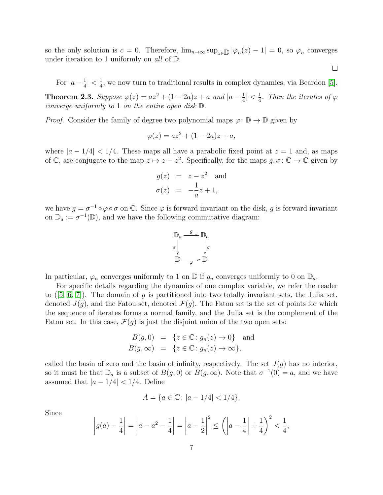so the only solution is  $c = 0$ . Therefore,  $\lim_{n\to\infty} \sup_{z\in\mathbb{D}} |\varphi_n(z) - 1| = 0$ , so  $\varphi_n$  converges under iteration to 1 uniformly on all of  $\mathbb{D}$ .

For  $|a-\frac{1}{4}\rangle$  $\frac{1}{4}|<\frac{1}{4}$  $\frac{1}{4}$ , we now turn to traditional results in complex dynamics, via Beardon [\[5\]](#page-14-4).

 $\Box$ 

**Theorem 2.3.** Suppose  $\varphi(z) = az^2 + (1 - 2a)z + a$  and  $|a - \frac{1}{4}$  $\frac{1}{4}|<\frac{1}{4}$  $\frac{1}{4}$ . Then the iterates of  $\varphi$ converge uniformly to 1 on the entire open disk D.

*Proof.* Consider the family of degree two polynomial maps  $\varphi: \mathbb{D} \to \mathbb{D}$  given by

$$
\varphi(z) = az^2 + (1 - 2a)z + a,
$$

where  $|a - 1/4| < 1/4$ . These maps all have a parabolic fixed point at  $z = 1$  and, as maps of C, are conjugate to the map  $z \mapsto z - z^2$ . Specifically, for the maps  $g, \sigma \colon \mathbb{C} \to \mathbb{C}$  given by

$$
g(z) = z - z2 \text{ and}
$$
  

$$
\sigma(z) = -\frac{1}{a}z + 1,
$$

we have  $g = \sigma^{-1} \circ \varphi \circ \sigma$  on  $\mathbb{C}$ . Since  $\varphi$  is forward invariant on the disk, g is forward invariant on  $\mathbb{D}_a := \sigma^{-1}(\mathbb{D})$ , and we have the following commutative diagram:



In particular,  $\varphi_n$  converges uniformly to 1 on  $\mathbb D$  if  $g_n$  converges uniformly to 0 on  $\mathbb D_a$ .

For specific details regarding the dynamics of one complex variable, we refer the reader to  $(5, 6, 7)$  $(5, 6, 7)$  $(5, 6, 7)$ . The domain of g is partitioned into two totally invariant sets, the Julia set, denoted  $J(q)$ , and the Fatou set, denoted  $\mathcal{F}(q)$ . The Fatou set is the set of points for which the sequence of iterates forms a normal family, and the Julia set is the complement of the Fatou set. In this case,  $\mathcal{F}(g)$  is just the disjoint union of the two open sets:

$$
B(g, 0) = \{z \in \mathbb{C} : g_n(z) \to 0\} \text{ and}
$$
  

$$
B(g, \infty) = \{z \in \mathbb{C} : g_n(z) \to \infty\},
$$

called the basin of zero and the basin of infinity, respectively. The set  $J(g)$  has no interior, so it must be that  $\mathbb{D}_a$  is a subset of  $B(g, 0)$  or  $B(g, \infty)$ . Note that  $\sigma^{-1}(0) = a$ , and we have assumed that  $|a - 1/4| < 1/4$ . Define

$$
A = \{ a \in \mathbb{C} : |a - 1/4| < 1/4 \}.
$$

Since

$$
\left| g(a) - \frac{1}{4} \right| = \left| a - a^2 - \frac{1}{4} \right| = \left| a - \frac{1}{2} \right|^2 \le \left( \left| a - \frac{1}{4} \right| + \frac{1}{4} \right)^2 < \frac{1}{4},
$$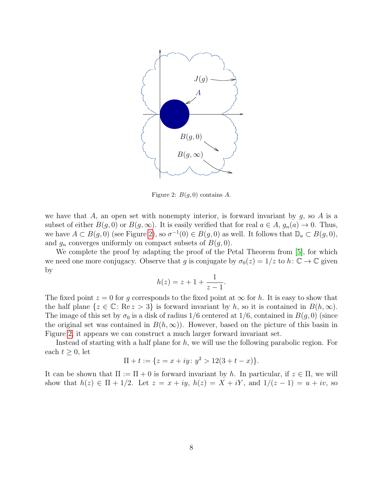

<span id="page-8-0"></span>Figure 2:  $B(g, 0)$  contains A.

we have that A, an open set with nonempty interior, is forward invariant by  $g$ , so A is a subset of either  $B(g, 0)$  or  $B(g, \infty)$ . It is easily verified that for real  $a \in A$ ,  $g_n(a) \to 0$ . Thus, we have  $A \subset B(g, 0)$  (see Figure [2\)](#page-8-0), so  $\sigma^{-1}(0) \in B(g, 0)$  as well. It follows that  $\mathbb{D}_a \subset B(g, 0)$ , and  $g_n$  converges uniformly on compact subsets of  $B(g, 0)$ .

We complete the proof by adapting the proof of the Petal Theorem from [\[5\]](#page-14-4), for which we need one more conjugacy. Observe that g is conjugate by  $\sigma_0(z) = 1/z$  to  $h: \mathbb{C} \to \mathbb{C}$  given by

$$
h(z) = z + 1 + \frac{1}{z - 1}.
$$

The fixed point  $z = 0$  for g corresponds to the fixed point at  $\infty$  for h. It is easy to show that the half plane  $\{z \in \mathbb{C} : \text{Re } z > 3\}$  is forward invariant by h, so it is contained in  $B(h, \infty)$ . The image of this set by  $\sigma_0$  is a disk of radius 1/6 centered at 1/6, contained in  $B(g, 0)$  (since the original set was contained in  $B(h,\infty)$ . However, based on the picture of this basin in Figure [2,](#page-8-0) it appears we can construct a much larger forward invariant set.

Instead of starting with a half plane for h, we will use the following parabolic region. For each  $t \geq 0$ , let

$$
\Pi + t := \{ z = x + iy \colon y^2 > 12(3 + t - x) \}.
$$

It can be shown that  $\Pi := \Pi + 0$  is forward invariant by h. In particular, if  $z \in \Pi$ , we will show that  $h(z) \in \Pi + 1/2$ . Let  $z = x + iy$ ,  $h(z) = X + iY$ , and  $1/(z - 1) = u + iv$ , so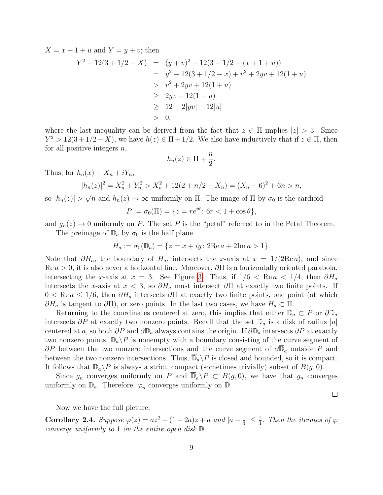$X = x + 1 + u$  and  $Y = y + v$ ; then

$$
Y^{2} - 12(3 + 1/2 - X) = (y + v)^{2} - 12(3 + 1/2 - (x + 1 + u))
$$
  
=  $y^{2} - 12(3 + 1/2 - x) + v^{2} + 2yv + 12(1 + u)$   
 $\geq v^{2} + 2yv + 12(1 + u)$   
 $\geq 2yv + 12(1 + u)$   
 $\geq 12 - 2|yv| - 12|u|$   
 $\geq 0,$ 

where the last inequality can be derived from the fact that  $z \in \Pi$  implies  $|z| > 3$ . Since  $Y^2 > 12(3+1/2-X)$ , we have  $h(z) \in \Pi + 1/2$ . We also have inductively that if  $z \in \Pi$ , then for all positive integers  $n$ ,

$$
h_n(z) \in \Pi + \frac{n}{2}.
$$

Thus, for  $h_n(x) + X_n + iY_n$ ,

$$
|h_n(z)|^2 = X_n^2 + Y_n^2 > X_n^2 + 12(2 + n/2 - X_n) = (X_n - 6)^2 + 6n > n,
$$

so  $|h_n(z)| >$  $\overline{n}$  and  $h_n(z) \to \infty$  uniformly on  $\Pi$ . The image of  $\Pi$  by  $\sigma_0$  is the cardioid

$$
P := \sigma_0(\Pi) = \{ z = re^{i\theta} \colon 6r < 1 + \cos \theta \},
$$

and  $g_n(z) \to 0$  uniformly on P. The set P is the "petal" referred to in the Petal Theorem. The preimage of  $\mathbb{D}_a$  by  $\sigma_0$  is the half plane

$$
H_a := \sigma_0(\mathbb{D}_a) = \{ z = x + iy \colon 2\text{Re}\, a + 2\text{Im}\, a > 1 \}.
$$

Note that  $\partial H_a$ , the boundary of  $H_a$ , intersects the x-axis at  $x = 1/(2\text{Re }a)$ , and since  $\text{Re } a > 0$ , it is also never a horizontal line. Moreover,  $\partial \Pi$  is a horizontally oriented parabola, intersecting the x-axis at  $x = 3$ . See Figure [3.](#page-10-0) Thus, if  $1/6 < \text{Re } a < 1/4$ , then  $\partial H_a$ intersects the x-axis at  $x < 3$ , so  $\partial H_a$  must intersect  $\partial \Pi$  at exactly two finite points. If  $0 < \text{Re } a \leq 1/6$ , then  $\partial H_a$  intersects  $\partial \Pi$  at exactly two finite points, one point (at which  $\partial H_a$  is tangent to  $\partial \Pi$ ), or zero points. In the last two cases, we have  $H_a \subset \Pi$ .

Returning to the coordinates centered at zero, this implies that either  $\mathbb{D}_a \subset P$  or  $\partial \mathbb{D}_a$ intersects  $\partial P$  at exactly two nonzero points. Recall that the set  $\mathbb{D}_a$  is a disk of radius |a| centered at  $\bar{a}$ , so both  $\partial P$  and  $\partial \mathbb{D}_a$  always contains the origin. If  $\partial \mathbb{D}_a$  intersects  $\partial P$  at exactly two nonzero points,  $\overline{\mathbb{D}}_a \backslash P$  is nonempty with a boundary consisting of the curve segment of  $\partial P$  between the two nonzero intersections and the curve segment of  $\partial \overline{D}_a$  outside P and between the two nonzero intersections. Thus,  $\mathbb{D}_a \backslash P$  is closed and bounded, so it is compact. It follows that  $\overline{\mathbb{D}}_a \backslash P$  is always a strict, compact (sometimes trivially) subset of  $B(g, 0)$ .

Since  $g_n$  converges uniformly on P and  $\overline{\mathbb{D}}_a \backslash P \subset B(g, 0)$ , we have that  $g_n$  converges uniformly on  $\mathbb{D}_a$ . Therefore,  $\varphi_n$  converges uniformly on  $\mathbb{D}$ .

 $\Box$ 

Now we have the full picture:

<span id="page-9-0"></span>Corollary 2.4. Suppose  $\varphi(z) = az^2 + (1 - 2a)z + a$  and  $|a - \frac{1}{4}\rangle$  $\frac{1}{4} \leq \frac{1}{4}$ . Then the iterates of  $\varphi$ converge uniformly to 1 on the entire open disk D.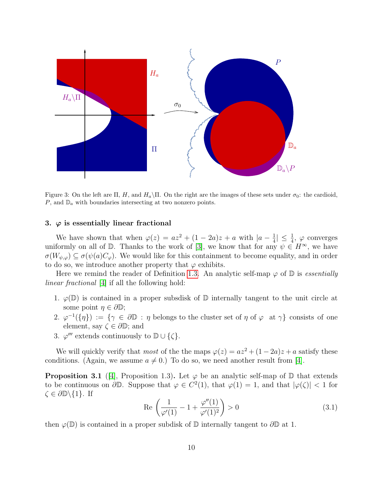

<span id="page-10-0"></span>Figure 3: On the left are  $\Pi$ , H, and  $H_a\$  $\Pi$ . On the right are the images of these sets under  $\sigma_0$ : the cardioid,  $P$ , and  $\mathbb{D}_a$  with boundaries intersecting at two nonzero points.

## 3.  $\varphi$  is essentially linear fractional

We have shown that when  $\varphi(z) = az^2 + (1 - 2a)z + a$  with  $|a - \frac{1}{4}$  $\frac{1}{4}$ |  $\leq \frac{1}{4}$ ,  $\varphi$  converges uniformly on all of D. Thanks to the work of [\[3\]](#page-14-2), we know that for any  $\psi \in H^{\infty}$ , we have  $\sigma(W_{\psi,\varphi}) \subseteq \sigma(\psi(a)C_{\varphi})$ . We would like for this containment to become equality, and in order to do so, we introduce another property that  $\varphi$  exhibits.

Here we remind the reader of Definition [1.3.](#page-4-0) An analytic self-map  $\varphi$  of  $\mathbb D$  is *essentially* linear fractional [\[4\]](#page-14-3) if all the following hold:

- 1.  $\varphi(\mathbb{D})$  is contained in a proper subsdisk of  $\mathbb{D}$  internally tangent to the unit circle at some point  $\eta \in \partial \mathbb{D}$ ;
- 2.  $\varphi^{-1}(\{\eta\}) := \{\gamma \in \partial \mathbb{D} : \eta \text{ belongs to the cluster set of } \eta \text{ of } \varphi \text{ at } \gamma\}$  consists of one element, say  $\zeta \in \partial \mathbb{D}$ ; and
- 3.  $\varphi'''$  extends continuously to  $\mathbb{D} \cup \{\zeta\}.$

We will quickly verify that most of the the maps  $\varphi(z) = az^2 + (1 - 2a)z + a$  satisfy these conditions. (Again, we assume  $a \neq 0$ .) To do so, we need another result from [\[4\]](#page-14-3).

<span id="page-10-2"></span>**Proposition 3.1** ([\[4\]](#page-14-3), Proposition 1.3). Let  $\varphi$  be an analytic self-map of  $\mathbb D$  that extends to be continuous on  $\partial \mathbb{D}$ . Suppose that  $\varphi \in C^2(1)$ , that  $\varphi(1) = 1$ , and that  $|\varphi(\zeta)| < 1$  for  $\zeta \in \partial \mathbb{D} \backslash \{1\}$ . If

<span id="page-10-1"></span>
$$
\operatorname{Re}\left(\frac{1}{\varphi'(1)} - 1 + \frac{\varphi''(1)}{\varphi'(1)^2}\right) > 0\tag{3.1}
$$

then  $\varphi(\mathbb{D})$  is contained in a proper subdisk of  $\mathbb D$  internally tangent to  $\partial \mathbb D$  at 1.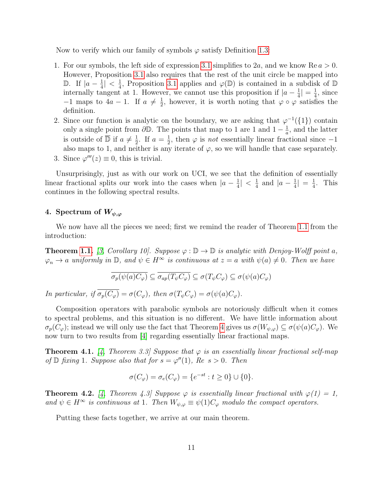Now to verify which our family of symbols  $\varphi$  satisfy Definition [1.3:](#page-4-0)

- 1. For our symbols, the left side of expression [3.1](#page-10-1) simplifies to 2a, and we know  $\text{Re } a > 0$ . However, Proposition [3.1](#page-10-2) also requires that the rest of the unit circle be mapped into D. If  $|a - \frac{1}{4}|$  $\frac{1}{4}| \lt \frac{1}{4}$  $\frac{1}{4}$ , Proposition [3.1](#page-10-2) applies and  $\varphi(\mathbb{D})$  is contained in a subdisk of  $\mathbb{D}$ internally tangent at 1. However, we cannot use this proposition if  $|a-\frac{1}{4}\rangle$  $\frac{1}{4}| = \frac{1}{4}$  $\frac{1}{4}$ , since  $-1$  maps to  $4a-1$ . If  $a \neq \frac{1}{2}$  $\frac{1}{2}$ , however, it is worth noting that  $\varphi \circ \varphi$  satisfies the definition.
- 2. Since our function is analytic on the boundary, we are asking that  $\varphi^{-1}(\{1\})$  contain only a single point from  $\partial \mathbb{D}$ . The points that map to 1 are 1 and  $1 - \frac{1}{a}$  $\frac{1}{a}$ , and the latter is outside of  $\overline{\mathbb{D}}$  if  $a \neq \frac{1}{2}$  $\frac{1}{2}$ . If  $a = \frac{1}{2}$  $\frac{1}{2}$ , then  $\varphi$  is *not* essentially linear fractional since  $-1$ also maps to 1, and neither is any iterate of  $\varphi$ , so we will handle that case separately. 3. Since  $\varphi'''(z) \equiv 0$ , this is trivial.

Unsurprisingly, just as with our work on UCI, we see that the definition of essentially linear fractional splits our work into the cases when  $|a-\frac{1}{4}\rangle$  $\frac{1}{4}| \leq \frac{1}{4}$  $rac{1}{4}$  and  $|a-\frac{1}{4}|$  $\frac{1}{4}| = \frac{1}{4}$  $\frac{1}{4}$ . This continues in the following spectral results.

## <span id="page-11-0"></span>4. Spectrum of  $W_{\psi,\varphi}$

We now have all the pieces we need; first we remind the reader of Theorem [1.1](#page-2-0) from the introduction:

**Theorem [1.1.](#page-2-0)** [\[3,](#page-14-2) Corollary 10]. Suppose  $\varphi : \mathbb{D} \to \mathbb{D}$  is analytic with Denjoy-Wolff point a,  $\varphi_n \to a$  uniformly in  $\mathbb{D}$ , and  $\psi \in H^{\infty}$  is continuous at  $z = a$  with  $\psi(a) \neq 0$ . Then we have

$$
\overline{\sigma_p(\psi(a)C_{\varphi})} \subseteq \overline{\sigma_{ap}(T_{\psi}C_{\varphi})} \subseteq \sigma(T_{\psi}C_{\varphi}) \subseteq \sigma(\psi(a)C_{\varphi})
$$

In particular, if  $\overline{\sigma_n(C_\varphi)} = \sigma(C_\varphi)$ , then  $\sigma(T_\psi C_\varphi) = \sigma(\psi(a)C_\varphi)$ .

Composition operators with parabolic symbols are notoriously difficult when it comes to spectral problems, and this situation is no different. We have little information about  $\sigma_p(C_\varphi)$ ; instead we will only use the fact that Theorem [4](#page-11-0) gives us  $\sigma(W_{\psi,\varphi}) \subseteq \sigma(\psi(a)C_\varphi)$ . We now turn to two results from [\[4\]](#page-14-3) regarding essentially linear fractional maps.

<span id="page-11-1"></span>**Theorem 4.1.** [\[4,](#page-14-3) Theorem 3.3] Suppose that  $\varphi$  is an essentially linear fractional self-map of  $\mathbb D$  fixing 1. Suppose also that for  $s = \varphi''(1)$ ,  $Re \ s > 0$ . Then

$$
\sigma(C_{\varphi}) = \sigma_e(C_{\varphi}) = \{e^{-st} : t \ge 0\} \cup \{0\}.
$$

<span id="page-11-2"></span>**Theorem 4.2.** [\[4,](#page-14-3) Theorem 4.3] Suppose  $\varphi$  is essentially linear fractional with  $\varphi(1) = 1$ , and  $\psi \in H^{\infty}$  is continuous at 1. Then  $W_{\psi,\varphi} \equiv \psi(1)C_{\varphi}$  modulo the compact operators.

Putting these facts together, we arrive at our main theorem.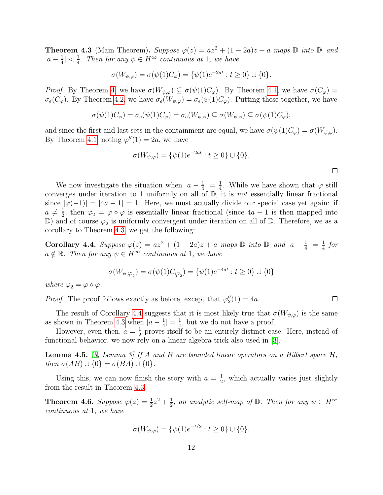<span id="page-12-0"></span>**Theorem 4.3** (Main Theorem). Suppose  $\varphi(z) = az^2 + (1 - 2a)z + a$  maps  $\mathbb D$  into  $\mathbb D$  and  $|a-\frac{1}{4}\rangle$  $\frac{1}{4}|<\frac{1}{4}$  $\frac{1}{4}$ . Then for any  $\psi \in H^{\infty}$  continuous at 1, we have

$$
\sigma(W_{\psi,\varphi}) = \sigma(\psi(1)C_{\varphi}) = \{\psi(1)e^{-2at} : t \ge 0\} \cup \{0\}.
$$

*Proof.* By Theorem [4,](#page-11-0) we have  $\sigma(W_{\psi,\varphi}) \subseteq \sigma(\psi(1)C_{\varphi})$ . By Theorem [4.1,](#page-11-1) we have  $\sigma(C_{\varphi}) =$  $\sigma_e(C_\varphi)$ . By Theorem [4.2,](#page-11-2) we have  $\sigma_e(W_{\psi,\varphi}) = \sigma_e(\psi(1)C_\varphi)$ . Putting these together, we have

$$
\sigma(\psi(1)C_{\varphi}) = \sigma_e(\psi(1)C_{\varphi}) = \sigma_e(W_{\psi,\varphi}) \subseteq \sigma(W_{\psi,\varphi}) \subseteq \sigma(\psi(1)C_{\varphi}),
$$

and since the first and last sets in the containment are equal, we have  $\sigma(\psi(1)C_{\varphi}) = \sigma(W_{\psi,\varphi})$ . By Theorem [4.1,](#page-11-1) noting  $\varphi''(1) = 2a$ , we have

$$
\sigma(W_{\psi,\varphi}) = \{\psi(1)e^{-2at} : t \ge 0\} \cup \{0\}.
$$

We now investigate the situation when  $|a-\frac{1}{4}\rangle$  $\frac{1}{4}| = \frac{1}{4}$  $\frac{1}{4}$ . While we have shown that  $\varphi$  still converges under iteration to 1 uniformly on all of  $\mathbb{D}$ , it is *not* essentially linear fractional since  $|\varphi(-1)| = |4a - 1| = 1$ . Here, we must actually divide our special case yet again: if  $a \neq \frac{1}{2}$  $\frac{1}{2}$ , then  $\varphi_2 = \varphi \circ \varphi$  is essentially linear fractional (since  $4a - 1$  is then mapped into  $\mathbb{D}$ ) and of course  $\varphi_2$  is uniformly convergent under iteration on all of  $\mathbb{D}$ . Therefore, we as a corollary to Theorem [4.3,](#page-12-0) we get the following:

<span id="page-12-1"></span>Corollary 4.4. Suppose  $\varphi(z) = az^2 + (1 - 2a)z + a$  maps  $\mathbb D$  into  $\mathbb D$  and  $|a - \frac{1}{4}$  $\frac{1}{4}| = \frac{1}{4}$  $rac{1}{4}$  for  $a \notin \mathbb{R}$ . Then for any  $\psi \in H^{\infty}$  continuous at 1, we have

$$
\sigma(W_{\psi, \varphi_2})=\sigma(\psi(1)C_{\varphi_2})=\{\psi(1)e^{-4at}: t\geq 0\}\cup\{0\}
$$

where  $\varphi_2 = \varphi \circ \varphi$ .

*Proof.* The proof follows exactly as before, except that  $\varphi_2''(1) = 4a$ .

The result of Corollary [4.4](#page-12-1) suggests that it is most likely true that  $\sigma(W_{\psi,\varphi})$  is the same as shown in Theorem [4.3](#page-12-0) when  $|a-\frac{1}{4}|$  $\frac{1}{4}|=\frac{1}{4}$  $\frac{1}{4}$ , but we do not have a proof.

However, even then,  $a = \frac{1}{2}$  $\frac{1}{2}$  proves itself to be an entirely distinct case. Here, instead of functional behavior, we now rely on a linear algebra trick also used in [\[3\]](#page-14-2).

<span id="page-12-2"></span>**Lemma 4.5.** [\[3,](#page-14-2) Lemma 3] If A and B are bounded linear operators on a Hilbert space  $\mathcal{H}$ , then  $\sigma(AB) \cup \{0\} = \sigma(BA) \cup \{0\}.$ 

Using this, we can now finish the story with  $a = \frac{1}{2}$  $\frac{1}{2}$ , which actually varies just slightly from the result in Theorem [4.3.](#page-12-0)

**Theorem 4.6.** Suppose  $\varphi(z) = \frac{1}{2}z^2 + \frac{1}{2}$  $\frac{1}{2}$ , an analytic self-map of  $\mathbb D$ . Then for any  $\psi \in H^{\infty}$ continuous at 1, we have

$$
\sigma(W_{\psi,\varphi}) = \{\psi(1)e^{-t/2} : t \ge 0\} \cup \{0\}.
$$

 $\Box$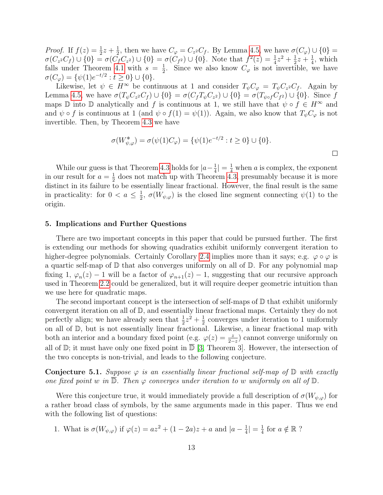*Proof.* If  $f(z) = \frac{1}{2}z + \frac{1}{2}$  $\frac{1}{2}$ , then we have  $C_{\varphi} = C_{z^2} C_f$ . By Lemma [4.5,](#page-12-2) we have  $\sigma(C_{\varphi}) \cup \{0\} =$  $\sigma(C_{z^2}C_f) \cup \{0\} = \sigma(\bar{C}_f C_{z^2}) \cup \{0\} = \sigma(\bar{C}_{f^2}) \cup \{0\}.$  Note that  $f^2(z) = \frac{1}{4}z^2 + \frac{1}{2}$  $rac{1}{2}z + \frac{1}{4}$  $\frac{1}{4}$ , which falls under Theorem [4.1](#page-11-1) with  $s = \frac{1}{2}$  $\frac{1}{2}$ . Since we also know  $C_{\varphi}$  is not invertible, we have  $\sigma(C_{\varphi}) = \{ \psi(1)e^{-t/2} : t \ge 0 \} \cup \{ 0 \}.$ 

Likewise, let  $\psi \in H^{\infty}$  be continuous at 1 and consider  $T_{\psi}C_{\varphi} = T_{\psi}C_{z^2}C_{f}$ . Again by Lemma [4.5,](#page-12-2) we have  $\sigma(T_{\psi}C_{z^2}C_f) \cup \{0\} = \sigma(C_f T_{\psi}C_{z^2}) \cup \{0\} = \sigma(T_{\psi \circ f}C_{f^2}) \cup \{0\}$ . Since f maps D into D analytically and f is continuous at 1, we still have that  $\psi \circ f \in H^{\infty}$  and and  $\psi \circ f$  is continuous at 1 (and  $\psi \circ f(1) = \psi(1)$ ). Again, we also know that  $T_{\psi}C_{\varphi}$  is not invertible. Then, by Theorem [4.3](#page-12-0) we have

$$
\sigma(W_{\psi,\varphi}^*) = \sigma(\psi(1)C_{\varphi}) = \{\psi(1)e^{-t/2} : t \ge 0\} \cup \{0\}.
$$

While our guess is that Theorem [4.3](#page-12-0) holds for  $|a-\frac{1}{4}\rangle$  $\frac{1}{4}$  =  $\frac{1}{4}$  when *a* is complex, the exponent in our result for  $a=\frac{1}{2}$  $\frac{1}{2}$  does not match up with Theorem [4.3,](#page-12-0) presumably because it is more distinct in its failure to be essentially linear fractional. However, the final result is the same in practicality: for  $0 < a \leq \frac{1}{2}$  $\frac{1}{2}$ ,  $\sigma(W_{\psi,\varphi})$  is the closed line segment connecting  $\psi(1)$  to the origin.

#### 5. Implications and Further Questions

There are two important concepts in this paper that could be pursued further. The first is extending our methods for showing quadratics exhibit uniformly convergent iteration to higher-degree polynomials. Certainly Corollary [2.4](#page-9-0) implies more than it says; e.g.  $\varphi \circ \varphi$  is a quartic self-map of  $\mathbb D$  that also converges uniformly on all of  $\mathbb D$ . For any polynomial map fixing 1,  $\varphi_n(z) - 1$  will be a factor of  $\varphi_{n+1}(z) - 1$ , suggesting that our recursive approach used in Theorem [2.2](#page-5-0) could be generalized, but it will require deeper geometric intuition than we use here for quadratic maps.

The second important concept is the intersection of self-maps of  $\mathbb D$  that exhibit uniformly convergent iteration on all of D, and essentially linear fractional maps. Certainly they do not perfectly align; we have already seen that  $\frac{1}{2}z^2 + \frac{1}{2}$  $\frac{1}{2}$  converges under iteration to 1 uniformly on all of D, but is not essentially linear fractional. Likewise, a linear fractional map with both an interior and a boundary fixed point (e.g.  $\varphi(z) = \frac{z}{2-z}$ ) cannot converge uniformly on all of  $\mathbb{D}$ ; it must have only one fixed point in  $\mathbb{D}$  [\[3,](#page-14-2) Theorem 3]. However, the intersection of the two concepts is non-trivial, and leads to the following conjecture.

**Conjecture 5.1.** Suppose  $\varphi$  is an essentially linear fractional self-map of  $\mathbb D$  with exactly one fixed point w in  $\mathbb{D}$ . Then  $\varphi$  converges under iteration to w uniformly on all of  $\mathbb{D}$ .

Were this conjecture true, it would immediately provide a full description of  $\sigma(W_{\psi,\varphi})$  for a rather broad class of symbols, by the same arguments made in this paper. Thus we end with the following list of questions:

1. What is  $\sigma(W_{\psi,\varphi})$  if  $\varphi(z) = az^2 + (1-2a)z + a$  and  $|a-\frac{1}{4}|$  $\frac{1}{4}|=\frac{1}{4}$  $\frac{1}{4}$  for  $a \notin \mathbb{R}$  ?